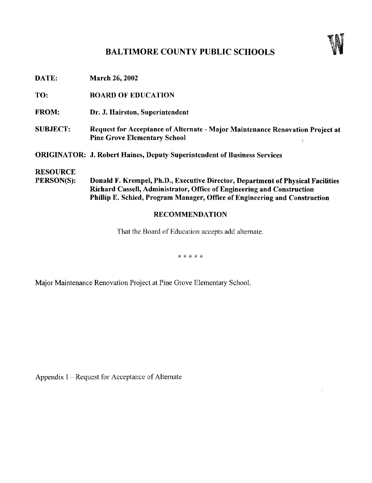## BALTIMORE COUNTY PUBLIC SCHOOLS



Ÿ.

| DATE:                         | <b>March 26, 2002</b>                                                                                                                                                                                                                   |
|-------------------------------|-----------------------------------------------------------------------------------------------------------------------------------------------------------------------------------------------------------------------------------------|
| TO:                           | <b>BOARD OF EDUCATION</b>                                                                                                                                                                                                               |
| <b>FROM:</b>                  | Dr. J. Hairston, Superintendent                                                                                                                                                                                                         |
| <b>SUBJECT:</b>               | Request for Acceptance of Alternate - Major Maintenance Renovation Project at<br><b>Pine Grove Elementary School</b>                                                                                                                    |
|                               | <b>ORIGINATOR: J. Robert Haines, Deputy Superintendent of Business Services</b>                                                                                                                                                         |
| <b>RESOURCE</b><br>PERSON(S): | Donald F. Krempel, Ph.D., Executive Director, Department of Physical Facilities<br>Richard Cassell, Administrator, Office of Engineering and Construction<br>Phillip E. Schied, Program Manager, Office of Engineering and Construction |
|                               |                                                                                                                                                                                                                                         |

## RECOMMENDATION

That the Board of Education accepts add alternate.

\* \* \* \* \*

Major Maintenance Renovation Project at Pine Grove Elementary School.

Appendix I - Request for Acceptance of Alternate

 $\sim$